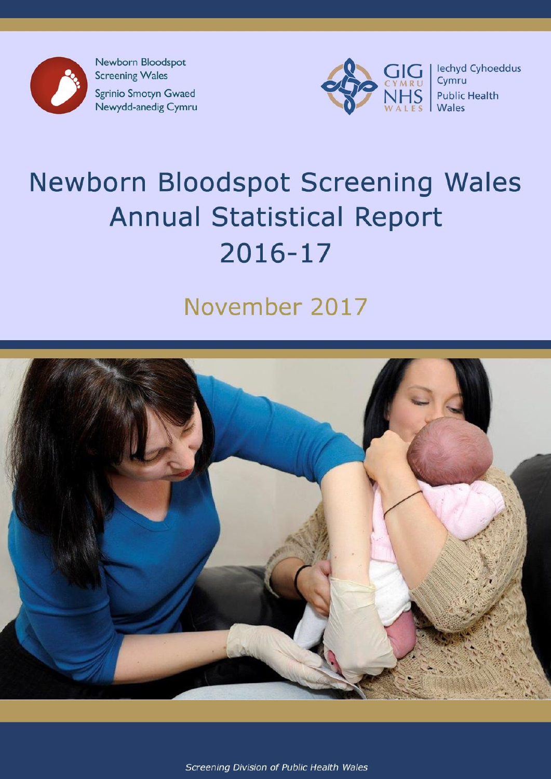

**Screening Wales** Sgrinio Smotyn Gwaed Newydd-anedig Cymru



# **Newborn Bloodspot Screening Wales Annual Statistical Report** 2016-17

## November 2017



Screening Division of Public Health Wales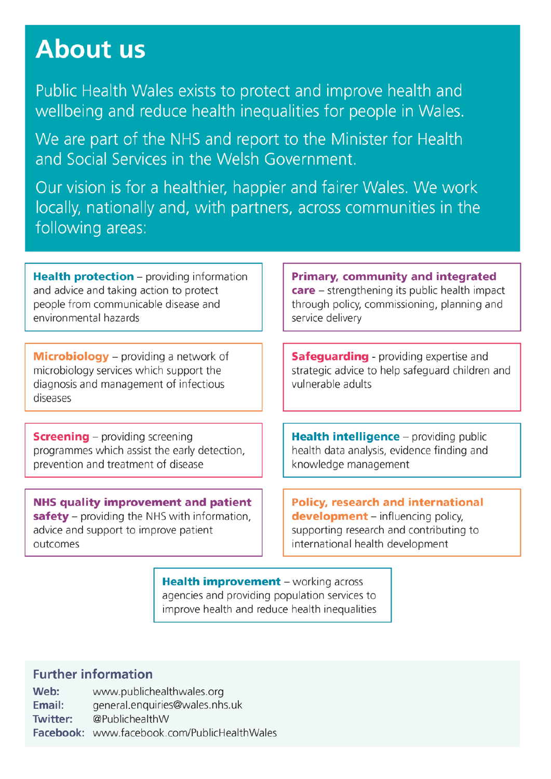## About us

Public Health Wales exists to protect and improve health and wellbeing and reduce health inequalities for people in Wales.

We are part of the NHS and report to the Minister for Health and Social Services in the Welsh Government

Our vision is for a healthier, happier and fairer Wales. We work locally, nationally and, with partners, across communities in the following areas:

**Health protection** – providing information and advice and taking action to protect people from communicable disease and environmental hazards

**Microbiology** – providing a network of microbiology services which support the diagnosis and management of infectious diseases

**Screening** – providing screening programmes which assist the early detection, prevention and treatment of disease

**NHS quality improvement and patient** safety – providing the NHS with information, advice and support to improve patient outcomes

**Primary, community and integrated care** – strengthening its public health impact through policy, commissioning, planning and service delivery

**Safeguarding** - providing expertise and strategic advice to help safeguard children and vulnerable adults

Health intelligence - providing public health data analysis, evidence finding and knowledge management

**Policy, research and international development** – influencing policy, supporting research and contributing to international health development

**Health improvement** – working across agencies and providing population services to improve health and reduce health inequalities

## **Further information**

Web: www.publichealthwales.org Email: general.enguiries@wales.nhs.uk **Twitter:** @PublichealthW Facebook: www.facebook.com/PublicHealthWales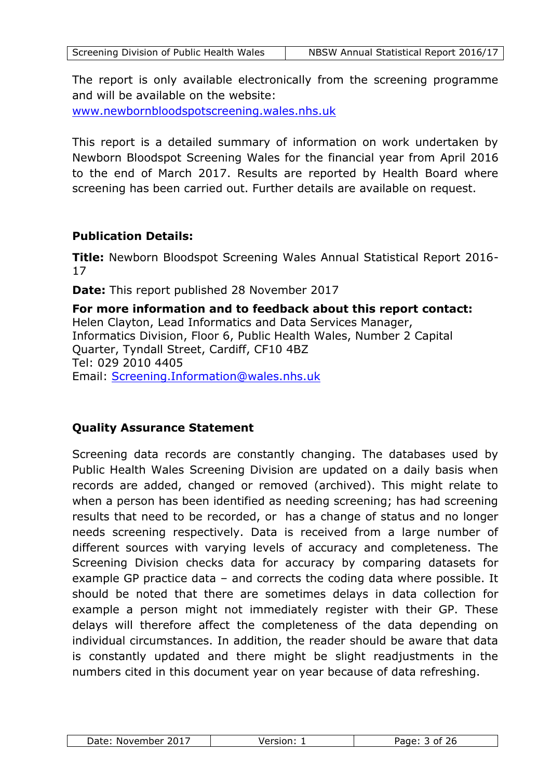The report is only available electronically from the screening programme and will be available on the website: [www.newbornbloodspotscreening.wales.nhs.uk](http://www.newbornbloodspotscreening.wales.nhs.uk/)

This report is a detailed summary of information on work undertaken by Newborn Bloodspot Screening Wales for the financial year from April 2016 to the end of March 2017. Results are reported by Health Board where screening has been carried out. Further details are available on request.

## **Publication Details:**

**Title:** Newborn Bloodspot Screening Wales Annual Statistical Report 2016- 17

**Date:** This report published 28 November 2017

**For more information and to feedback about this report contact:**  Helen Clayton, Lead Informatics and Data Services Manager, Informatics Division, Floor 6, Public Health Wales, Number 2 Capital Quarter, Tyndall Street, Cardiff, CF10 4BZ Tel: 029 2010 4405 Email: [Screening.Information@wales.nhs.uk](mailto:Screening.Information@wales.nhs.uk)

## **Quality Assurance Statement**

Screening data records are constantly changing. The databases used by Public Health Wales Screening Division are updated on a daily basis when records are added, changed or removed (archived). This might relate to when a person has been identified as needing screening; has had screening results that need to be recorded, or has a change of status and no longer needs screening respectively. Data is received from a large number of different sources with varying levels of accuracy and completeness. The Screening Division checks data for accuracy by comparing datasets for example GP practice data – and corrects the coding data where possible. It should be noted that there are sometimes delays in data collection for example a person might not immediately register with their GP. These delays will therefore affect the completeness of the data depending on individual circumstances. In addition, the reader should be aware that data is constantly updated and there might be slight readjustments in the numbers cited in this document year on year because of data refreshing.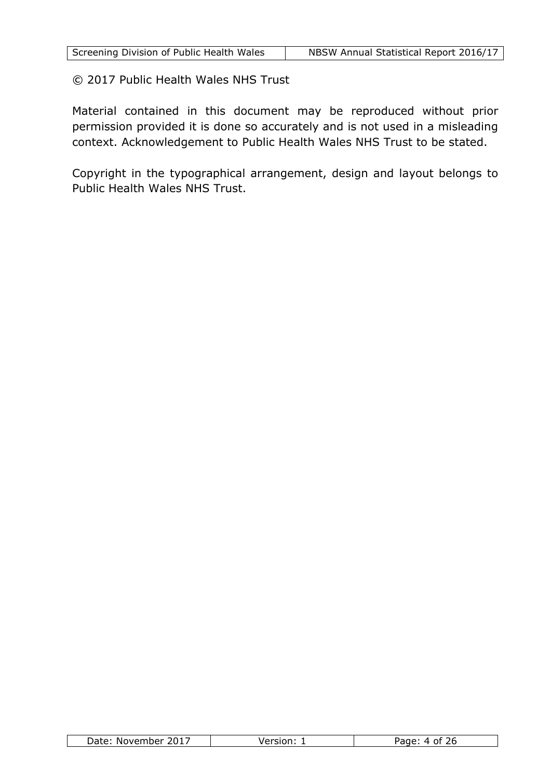© 2017 Public Health Wales NHS Trust

Material contained in this document may be reproduced without prior permission provided it is done so accurately and is not used in a misleading context. Acknowledgement to Public Health Wales NHS Trust to be stated.

Copyright in the typographical arrangement, design and layout belongs to Public Health Wales NHS Trust.

| Date<br>2017<br>. November | $\sim$ | $-$ |
|----------------------------|--------|-----|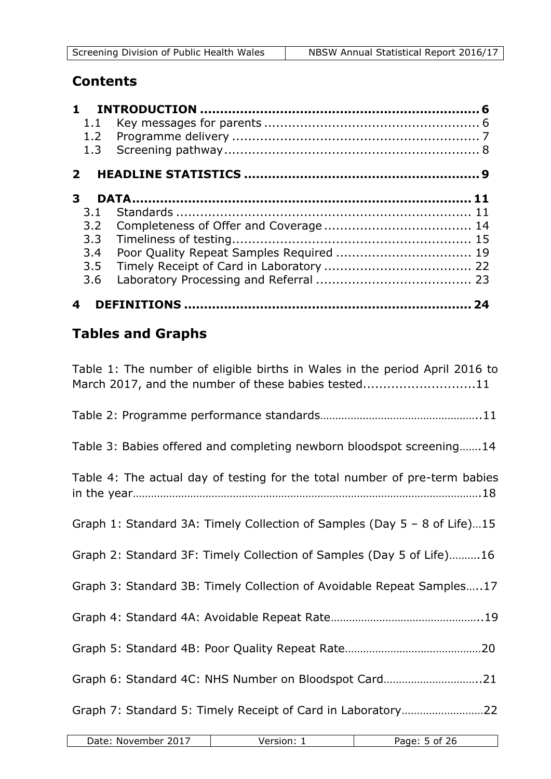## **Contents**

| 1.1<br>1.2<br>1.3 |    |
|-------------------|----|
| $\mathbf{2}$      |    |
| 3                 |    |
| 3.1               |    |
| 3.2               |    |
| 3.3               |    |
| 3.4               |    |
| 3.5               |    |
| 3.6               |    |
|                   | 74 |

## **Tables and Graphs**

| Table 1: The number of eligible births in Wales in the period April 2016 to<br>March 2017, and the number of these babies tested11 |
|------------------------------------------------------------------------------------------------------------------------------------|
|                                                                                                                                    |
| Table 3: Babies offered and completing newborn bloodspot screening14                                                               |
| Table 4: The actual day of testing for the total number of pre-term babies                                                         |
| Graph 1: Standard 3A: Timely Collection of Samples (Day 5 - 8 of Life)15                                                           |
| Graph 2: Standard 3F: Timely Collection of Samples (Day 5 of Life)16                                                               |
| Graph 3: Standard 3B: Timely Collection of Avoidable Repeat Samples17                                                              |
|                                                                                                                                    |
|                                                                                                                                    |
| Graph 6: Standard 4C: NHS Number on Bloodspot Card21                                                                               |
| Graph 7: Standard 5: Timely Receipt of Card in Laboratory22                                                                        |

| 2017<br>Date:<br>November | $\sim$ $\sim$ $\sim$ $\sim$ $\sim$ | Page.<br>nt |
|---------------------------|------------------------------------|-------------|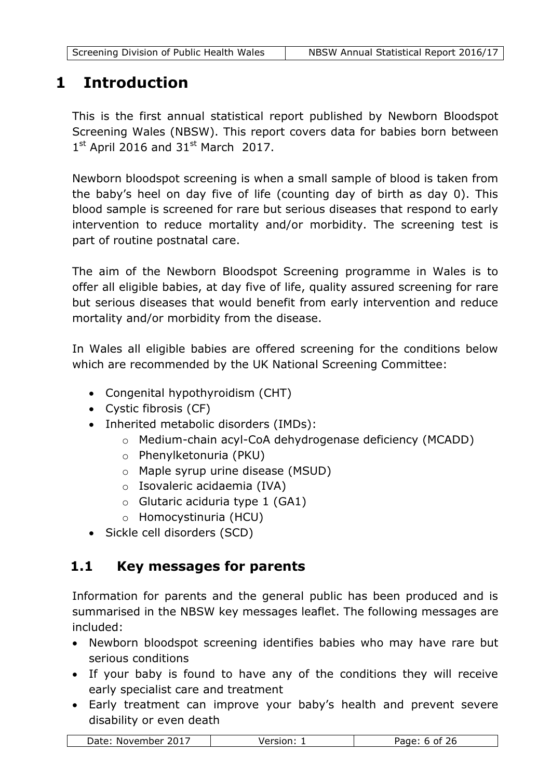## <span id="page-5-0"></span>**1 Introduction**

This is the first annual statistical report published by Newborn Bloodspot Screening Wales (NBSW). This report covers data for babies born between  $1<sup>st</sup>$  April 2016 and 31<sup>st</sup> March 2017.

Newborn bloodspot screening is when a small sample of blood is taken from the baby's heel on day five of life (counting day of birth as day 0). This blood sample is screened for rare but serious diseases that respond to early intervention to reduce mortality and/or morbidity. The screening test is part of routine postnatal care.

The aim of the Newborn Bloodspot Screening programme in Wales is to offer all eligible babies, at day five of life, quality assured screening for rare but serious diseases that would benefit from early intervention and reduce mortality and/or morbidity from the disease.

In Wales all eligible babies are offered screening for the conditions below which are recommended by the UK National Screening Committee:

- Congenital hypothyroidism (CHT)
- Cystic fibrosis (CF)
- Inherited metabolic disorders (IMDs):
	- o Medium-chain acyl-CoA dehydrogenase deficiency (MCADD)
	- o Phenylketonuria (PKU)
	- o Maple syrup urine disease (MSUD)
	- o Isovaleric acidaemia (IVA)
	- $\circ$  Glutaric aciduria type 1 (GA1)
	- o Homocystinuria (HCU)
- Sickle cell disorders (SCD)

## <span id="page-5-1"></span>**1.1 Key messages for parents**

Information for parents and the general public has been produced and is summarised in the NBSW key messages leaflet. The following messages are included:

- Newborn bloodspot screening identifies babies who may have rare but serious conditions
- If your baby is found to have any of the conditions they will receive early specialist care and treatment
- Early treatment can improve your baby's health and prevent severe disability or even death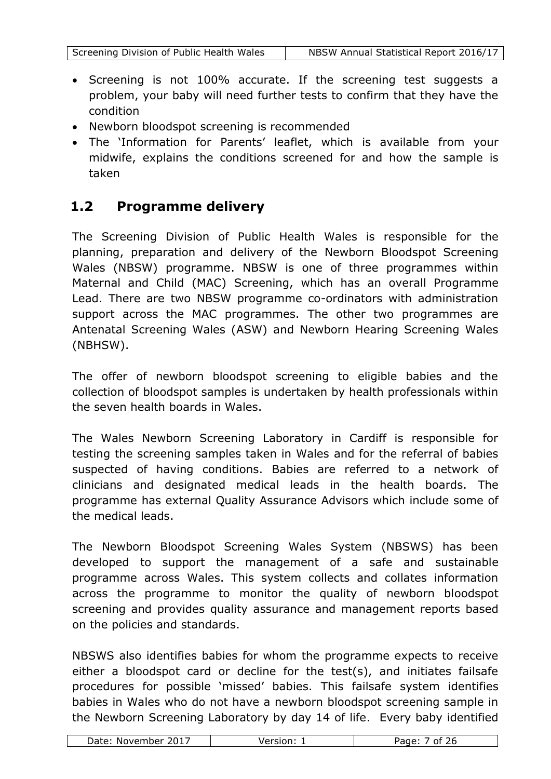- Screening is not 100% accurate. If the screening test suggests a problem, your baby will need further tests to confirm that they have the condition
- Newborn bloodspot screening is recommended
- The 'Information for Parents' leaflet, which is available from your midwife, explains the conditions screened for and how the sample is taken

## <span id="page-6-0"></span>**1.2 Programme delivery**

The Screening Division of Public Health Wales is responsible for the planning, preparation and delivery of the Newborn Bloodspot Screening Wales (NBSW) programme. NBSW is one of three programmes within Maternal and Child (MAC) Screening, which has an overall Programme Lead. There are two NBSW programme co-ordinators with administration support across the MAC programmes. The other two programmes are Antenatal Screening Wales (ASW) and Newborn Hearing Screening Wales (NBHSW).

The offer of newborn bloodspot screening to eligible babies and the collection of bloodspot samples is undertaken by health professionals within the seven health boards in Wales.

The Wales Newborn Screening Laboratory in Cardiff is responsible for testing the screening samples taken in Wales and for the referral of babies suspected of having conditions. Babies are referred to a network of clinicians and designated medical leads in the health boards. The programme has external Quality Assurance Advisors which include some of the medical leads.

The Newborn Bloodspot Screening Wales System (NBSWS) has been developed to support the management of a safe and sustainable programme across Wales. This system collects and collates information across the programme to monitor the quality of newborn bloodspot screening and provides quality assurance and management reports based on the policies and standards.

NBSWS also identifies babies for whom the programme expects to receive either a bloodspot card or decline for the test(s), and initiates failsafe procedures for possible 'missed' babies. This failsafe system identifies babies in Wales who do not have a newborn bloodspot screening sample in the Newborn Screening Laboratory by day 14 of life. Every baby identified

| 2017<br>Date:<br>November | $\sim$ $\sim$ $\sim$ $\sim$ $\sim$<br>$\sim$ | $\sim$ $\sim$<br>Page:<br>Ωt<br>,, |
|---------------------------|----------------------------------------------|------------------------------------|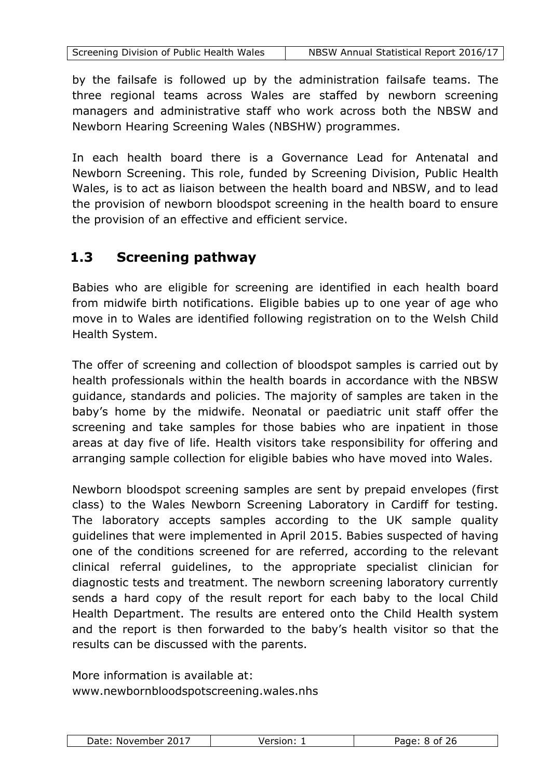by the failsafe is followed up by the administration failsafe teams. The three regional teams across Wales are staffed by newborn screening managers and administrative staff who work across both the NBSW and Newborn Hearing Screening Wales (NBSHW) programmes.

In each health board there is a Governance Lead for Antenatal and Newborn Screening. This role, funded by Screening Division, Public Health Wales, is to act as liaison between the health board and NBSW, and to lead the provision of newborn bloodspot screening in the health board to ensure the provision of an effective and efficient service.

## <span id="page-7-0"></span>**1.3 Screening pathway**

Babies who are eligible for screening are identified in each health board from midwife birth notifications. Eligible babies up to one year of age who move in to Wales are identified following registration on to the Welsh Child Health System.

The offer of screening and collection of bloodspot samples is carried out by health professionals within the health boards in accordance with the NBSW guidance, standards and policies. The majority of samples are taken in the baby's home by the midwife. Neonatal or paediatric unit staff offer the screening and take samples for those babies who are inpatient in those areas at day five of life. Health visitors take responsibility for offering and arranging sample collection for eligible babies who have moved into Wales.

Newborn bloodspot screening samples are sent by prepaid envelopes (first class) to the Wales Newborn Screening Laboratory in Cardiff for testing. The laboratory accepts samples according to the UK sample quality guidelines that were implemented in April 2015. Babies suspected of having one of the conditions screened for are referred, according to the relevant clinical referral guidelines, to the appropriate specialist clinician for diagnostic tests and treatment. The newborn screening laboratory currently sends a hard copy of the result report for each baby to the local Child Health Department. The results are entered onto the Child Health system and the report is then forwarded to the baby's health visitor so that the results can be discussed with the parents.

More information is available at: www.newbornbloodspotscreening.wales.nhs

| 2017<br>Date:<br>November | larcinn • | つん<br>Ωt |
|---------------------------|-----------|----------|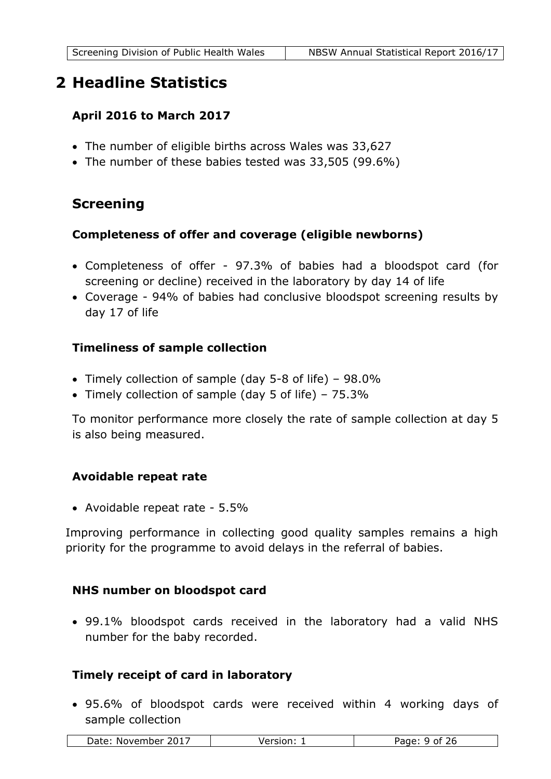## <span id="page-8-0"></span>**2 Headline Statistics**

## **April 2016 to March 2017**

- The number of eligible births across Wales was 33,627
- The number of these babies tested was 33,505 (99.6%)

## **Screening**

## **Completeness of offer and coverage (eligible newborns)**

- Completeness of offer 97.3% of babies had a bloodspot card (for screening or decline) received in the laboratory by day 14 of life
- Coverage 94% of babies had conclusive bloodspot screening results by day 17 of life

## **Timeliness of sample collection**

- Timely collection of sample (day 5-8 of life) 98.0%
- Timely collection of sample (day 5 of life) 75.3%

To monitor performance more closely the rate of sample collection at day 5 is also being measured.

## **Avoidable repeat rate**

Avoidable repeat rate - 5.5%

Improving performance in collecting good quality samples remains a high priority for the programme to avoid delays in the referral of babies.

## **NHS number on bloodspot card**

 99.1% bloodspot cards received in the laboratory had a valid NHS number for the baby recorded.

## **Timely receipt of card in laboratory**

 95.6% of bloodspot cards were received within 4 working days of sample collection

| 2017<br>Date:<br>November | $\Delta$ rcinn'<br><b>VELSIVIL.</b> | ∶ە∩د⊿<br>$J_{\mathsf{F}}$<br>^+<br>uι |
|---------------------------|-------------------------------------|---------------------------------------|
|---------------------------|-------------------------------------|---------------------------------------|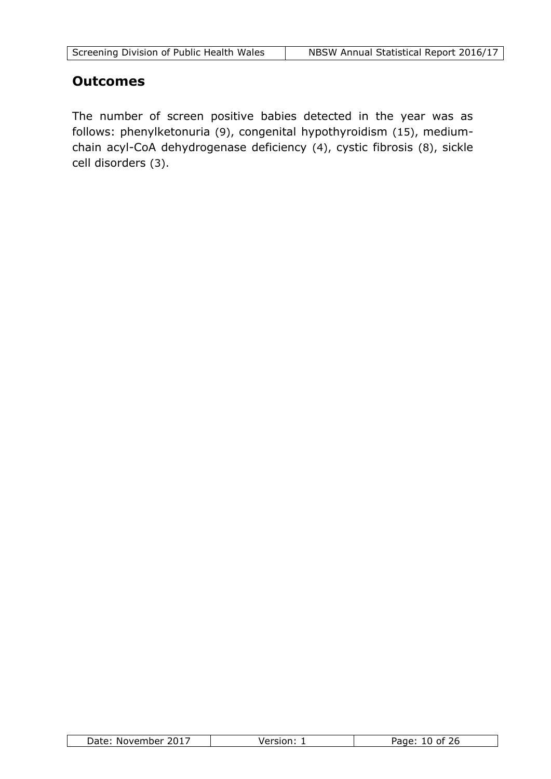## **Outcomes**

The number of screen positive babies detected in the year was as follows: phenylketonuria (9), congenital hypothyroidism (15), mediumchain acyl-CoA dehydrogenase deficiency (4), cystic fibrosis (8), sickle cell disorders (3).

| 201.<br>Date:<br>. November | $-0.00000$ | ם הבנ<br>26.<br>∩t⊹ |
|-----------------------------|------------|---------------------|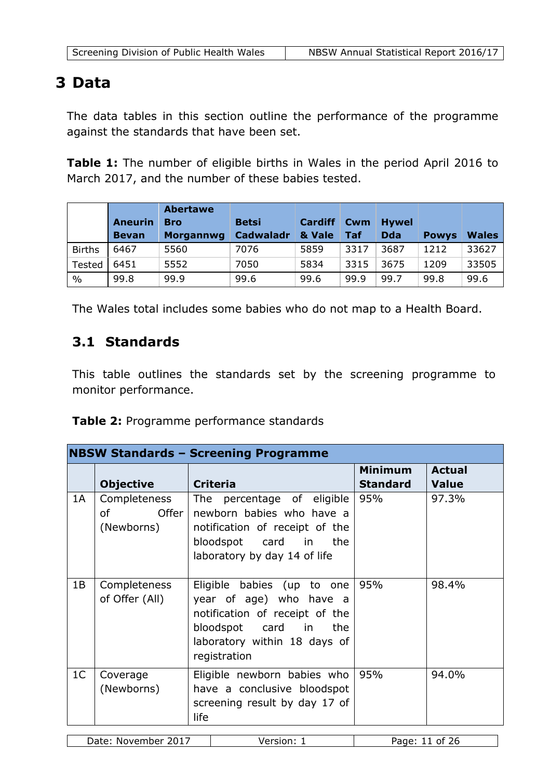## <span id="page-10-0"></span>**3 Data**

The data tables in this section outline the performance of the programme against the standards that have been set.

**Table 1:** The number of eligible births in Wales in the period April 2016 to March 2017, and the number of these babies tested.

|               | <b>Aneurin</b><br><b>Bevan</b> | <b>Abertawe</b><br><b>Bro</b><br><b>Morgannwg</b> | <b>Betsi</b><br>Cadwaladr | <b>Cardiff</b><br>& Vale | Cwm<br>Taf | <b>Hywel</b><br><b>Dda</b> | <b>Powys</b> | <b>Wales</b> |
|---------------|--------------------------------|---------------------------------------------------|---------------------------|--------------------------|------------|----------------------------|--------------|--------------|
| <b>Births</b> | 6467                           | 5560                                              | 7076                      | 5859                     | 3317       | 3687                       | 1212         | 33627        |
| Tested        | 6451                           | 5552                                              | 7050                      | 5834                     | 3315       | 3675                       | 1209         | 33505        |
| $\frac{0}{0}$ | 99.8                           | 99.9                                              | 99.6                      | 99.6                     | 99.9       | 99.7                       | 99.8         | 99.6         |

<span id="page-10-1"></span>The Wales total includes some babies who do not map to a Health Board.

## **3.1 Standards**

This table outlines the standards set by the screening programme to monitor performance.

**Table 2:** Programme performance standards

|                | <b>NBSW Standards - Screening Programme</b> |                                                                                                                                                                     |                                   |                               |  |
|----------------|---------------------------------------------|---------------------------------------------------------------------------------------------------------------------------------------------------------------------|-----------------------------------|-------------------------------|--|
|                | <b>Objective</b>                            | <b>Criteria</b>                                                                                                                                                     | <b>Minimum</b><br><b>Standard</b> | <b>Actual</b><br><b>Value</b> |  |
| 1A             | Completeness<br>Offer I<br>οf<br>(Newborns) | The percentage of eligible<br>newborn babies who have a<br>notification of receipt of the<br>bloodspot card in the<br>laboratory by day 14 of life                  | 95%                               | 97.3%                         |  |
| 1B             | Completeness<br>of Offer (All)              | Eligible babies (up to one<br>year of age) who have a<br>notification of receipt of the<br>bloodspot card in<br>the<br>laboratory within 18 days of<br>registration | 95%                               | 98.4%                         |  |
| 1 <sup>C</sup> | Coverage<br>(Newborns)                      | Eligible newborn babies who<br>have a conclusive bloodspot<br>screening result by day 17 of<br>life                                                                 | 95%                               | 94.0%                         |  |
|                |                                             |                                                                                                                                                                     |                                   |                               |  |

| -201.<br>Date<br>November<br>$\sim$ $\sim$ $\sim$ | $\sim$<br>age<br>Οt<br>. .<br>∼ |
|---------------------------------------------------|---------------------------------|
|---------------------------------------------------|---------------------------------|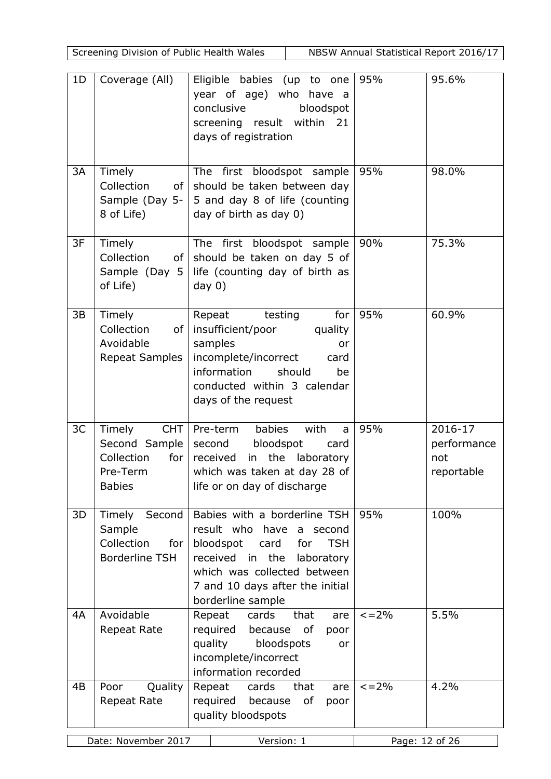Screening Division of Public Health Wales NBSW Annual Statistical Report 2016/17

| 1 <sub>D</sub> | Coverage (All)                                                                       | Eligible babies (up to one<br>year of age) who have a<br>conclusive<br>bloodspot<br>screening result within 21<br>days of registration                                                                                        | 95%            | 95.6%                                       |
|----------------|--------------------------------------------------------------------------------------|-------------------------------------------------------------------------------------------------------------------------------------------------------------------------------------------------------------------------------|----------------|---------------------------------------------|
| 3A             | Timely<br>Collection<br>of <sub>1</sub><br>Sample (Day $5 -$<br>8 of Life)           | The first bloodspot sample<br>should be taken between day<br>5 and day 8 of life (counting<br>day of birth as day 0)                                                                                                          | 95%            | 98.0%                                       |
| 3F             | Timely<br>Collection<br>of <sub>l</sub><br>Sample (Day 5<br>of Life)                 | The first bloodspot sample<br>should be taken on day 5 of<br>life (counting day of birth as<br>day $0)$                                                                                                                       | 90%            | 75.3%                                       |
| 3B             | Timely<br>Collection<br>of<br>Avoidable<br><b>Repeat Samples</b>                     | for<br>Repeat<br>testing<br>insufficient/poor<br>quality<br>samples<br>or<br>incomplete/incorrect<br>card<br>information<br>should<br>be<br>conducted within 3 calendar<br>days of the request                                | 95%            | 60.9%                                       |
| 3C             | Timely<br>CHT  <br>Second Sample  <br>Collection<br>for<br>Pre-Term<br><b>Babies</b> | with<br>babies<br>Pre-term<br>a<br>bloodspot<br>second<br>card<br>received in the laboratory<br>which was taken at day 28 of<br>life or on day of discharge                                                                   | 95%            | 2016-17<br>performance<br>not<br>reportable |
| 3D             | Timely<br>Second<br>Sample<br>Collection<br>for $ $<br>Borderline TSH                | Babies with a borderline TSH<br>result who have<br>a second<br>bloodspot<br>card<br>for<br><b>TSH</b><br>received in the<br>laboratory<br>which was collected between<br>7 and 10 days after the initial<br>borderline sample | 95%            | 100%                                        |
| 4A             | Avoidable<br><b>Repeat Rate</b>                                                      | Repeat<br>cards<br>that<br>are<br>required<br>because<br>οf<br>poor<br>quality<br>bloodspots<br>or<br>incomplete/incorrect<br>information recorded                                                                            | $\leq$ = 2%    | 5.5%                                        |
| 4B             | Poor<br>Quality<br><b>Repeat Rate</b>                                                | Repeat<br>cards<br>that<br>are<br>required<br>because<br>оf<br>poor<br>quality bloodspots                                                                                                                                     | $\leq$ = 2%    | 4.2%                                        |
|                | Date: November 2017                                                                  | Version: 1                                                                                                                                                                                                                    | Page: 12 of 26 |                                             |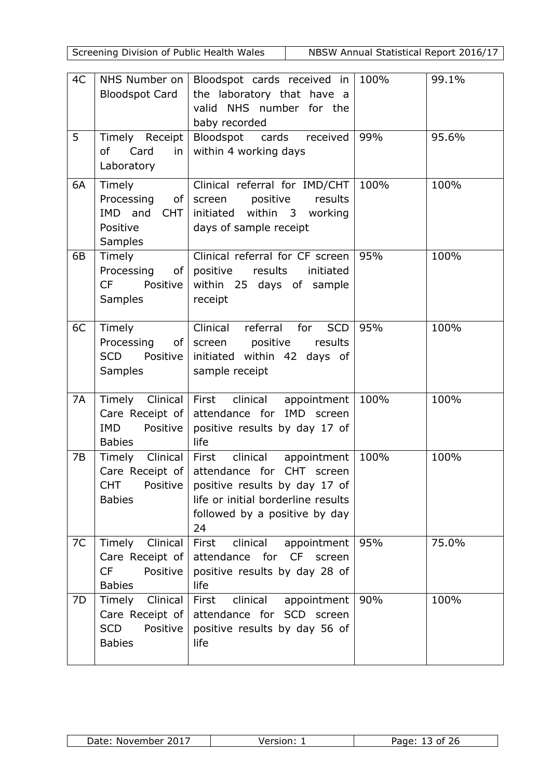Screening Division of Public Health Wales NBSW Annual Statistical Report 2016/17

| 4C | NHS Number on  <br><b>Bloodspot Card</b>                                         | Bloodspot cards received in $100\%$<br>the laboratory that have a<br>valid NHS number for the<br>baby recorded                                                        |      | 99.1% |
|----|----------------------------------------------------------------------------------|-----------------------------------------------------------------------------------------------------------------------------------------------------------------------|------|-------|
| 5  | Timely Receipt<br>of Card<br>in<br>Laboratory                                    | Bloodspot cards received<br>within 4 working days                                                                                                                     | 99%  | 95.6% |
| 6A | Timely<br>Processing of<br>IMD and<br>CHT  <br>Positive<br><b>Samples</b>        | Clinical referral for IMD/CHT<br>screen positive results<br>initiated within 3 working<br>days of sample receipt                                                      | 100% | 100%  |
| 6B | Timely<br>Processing<br>of <sub>l</sub><br>CF Positive<br><b>Samples</b>         | Clinical referral for CF screen<br>positive results<br>initiated<br>within 25 days of sample<br>receipt                                                               | 95%  | 100%  |
| 6C | Timely<br>Processing of<br><b>SCD</b><br>Positive  <br><b>Samples</b>            | Clinical referral for SCD<br>screen positive results<br>initiated within 42 days of<br>sample receipt                                                                 | 95%  | 100%  |
| 7A | Care Receipt of<br><b>IMD</b><br>Positive<br><b>Babies</b>                       | Timely Clinical First clinical appointment<br>attendance for IMD screen<br>positive results by day 17 of<br>life                                                      | 100% | 100%  |
| 7B | Timely Clinical<br>Care Receipt of<br>CHT Positive<br><b>Babies</b>              | First clinical appointment<br>attendance for CHT screen<br>positive results by day 17 of<br>life or initial borderline results<br>followed by a positive by day<br>24 | 100% | 100%  |
| 7C | Timely<br>Clinical<br>Care Receipt of<br><b>CF</b><br>Positive<br><b>Babies</b>  | clinical<br>First<br>appointment<br>attendance for CF screen<br>positive results by day 28 of<br>life                                                                 | 95%  | 75.0% |
| 7D | Clinical<br>Timely<br>Care Receipt of<br><b>SCD</b><br>Positive<br><b>Babies</b> | clinical<br>First<br>appointment<br>attendance for SCD screen<br>positive results by day 56 of<br>life                                                                | 90%  | 100%  |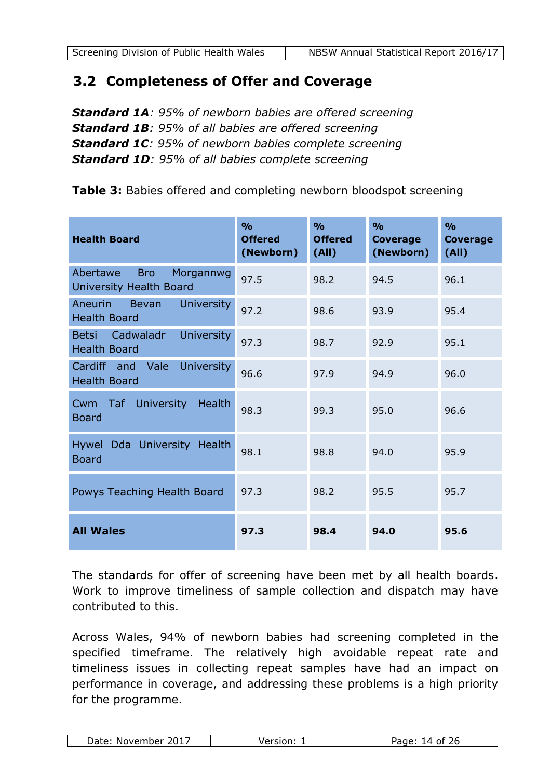## <span id="page-13-0"></span>**3.2 Completeness of Offer and Coverage**

*Standard 1A: 95% of newborn babies are offered screening Standard 1B: 95% of all babies are offered screening Standard 1C: 95% of newborn babies complete screening Standard 1D: 95% of all babies complete screening*

**Table 3:** Babies offered and completing newborn bloodspot screening

| <b>Health Board</b>                                                   | $\frac{0}{0}$<br><b>Offered</b><br>(Newborn) | O <sub>0</sub><br><b>Offered</b><br>(AII) | $\frac{0}{0}$<br><b>Coverage</b><br>(Newborn) | $\frac{0}{0}$<br><b>Coverage</b><br>(AII) |
|-----------------------------------------------------------------------|----------------------------------------------|-------------------------------------------|-----------------------------------------------|-------------------------------------------|
| Abertawe<br><b>Bro</b><br>Morgannwg<br>University Health Board        | 97.5                                         | 98.2                                      | 94.5                                          | 96.1                                      |
| Aneurin<br><b>University</b><br>Bevan<br><b>Health Board</b>          | 97.2                                         | 98.6                                      | 93.9                                          | 95.4                                      |
| Cadwaladr<br><b>University</b><br><b>Betsi</b><br><b>Health Board</b> | 97.3                                         | 98.7                                      | 92.9                                          | 95.1                                      |
| Cardiff<br>Vale<br><b>University</b><br>and<br><b>Health Board</b>    | 96.6                                         | 97.9                                      | 94.9                                          | 96.0                                      |
| <b>University</b><br><b>Health</b><br>Taf<br>Cwm<br><b>Board</b>      | 98.3                                         | 99.3                                      | 95.0                                          | 96.6                                      |
| Hywel Dda University Health<br><b>Board</b>                           | 98.1                                         | 98.8                                      | 94.0                                          | 95.9                                      |
| Powys Teaching Health Board                                           | 97.3                                         | 98.2                                      | 95.5                                          | 95.7                                      |
| <b>All Wales</b>                                                      | 97.3                                         | 98.4                                      | 94.0                                          | 95.6                                      |

The standards for offer of screening have been met by all health boards. Work to improve timeliness of sample collection and dispatch may have contributed to this.

Across Wales, 94% of newborn babies had screening completed in the specified timeframe. The relatively high avoidable repeat rate and timeliness issues in collecting repeat samples have had an impact on performance in coverage, and addressing these problems is a high priority for the programme.

| 201.<br>Date:<br>November | $\sim$<br>. . | age:<br>0t<br>$\sqrt{ }$<br>. . |
|---------------------------|---------------|---------------------------------|
|---------------------------|---------------|---------------------------------|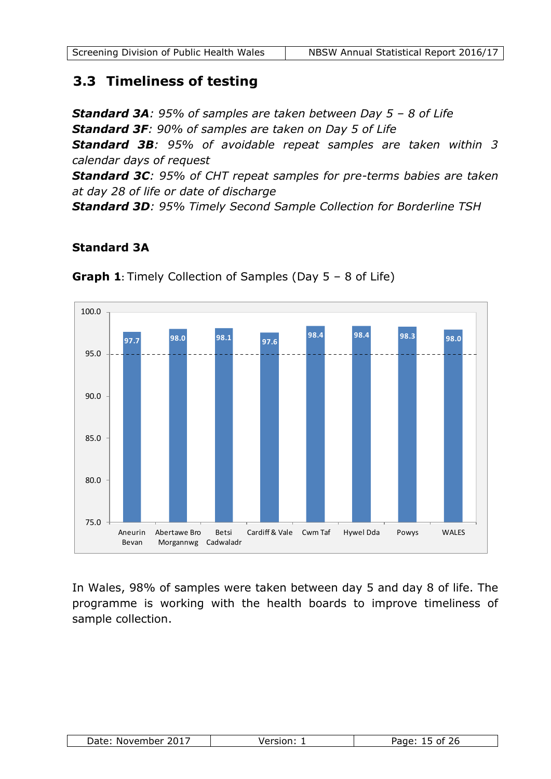## <span id="page-14-0"></span>**3.3 Timeliness of testing**

*Standard 3A: 95% of samples are taken between Day 5 – 8 of Life Standard 3F: 90% of samples are taken on Day 5 of Life*

*Standard 3B: 95% of avoidable repeat samples are taken within 3 calendar days of request*

*Standard 3C: 95% of CHT repeat samples for pre-terms babies are taken at day 28 of life or date of discharge*

*Standard 3D: 95% Timely Second Sample Collection for Borderline TSH*

#### **Standard 3A**



**Graph 1:** Timely Collection of Samples (Day 5 – 8 of Life)

In Wales, 98% of samples were taken between day 5 and day 8 of life. The programme is working with the health boards to improve timeliness of sample collection.

| Date<br>ר וחר<br>November<br>100100<br>- U I J | --<br>$-$<br>.<br>ים נ<br>-10<br>∠∪ |
|------------------------------------------------|-------------------------------------|
|------------------------------------------------|-------------------------------------|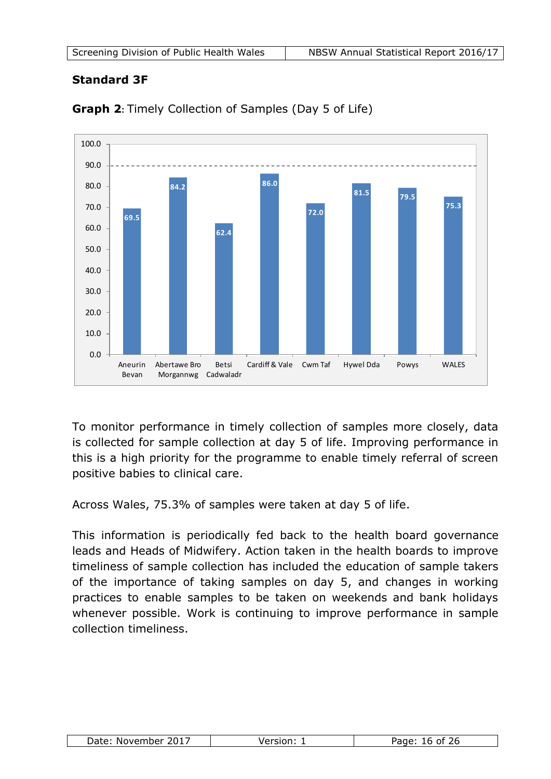## **Standard 3F**



**Graph 2:** Timely Collection of Samples (Day 5 of Life)

To monitor performance in timely collection of samples more closely, data is collected for sample collection at day 5 of life. Improving performance in this is a high priority for the programme to enable timely referral of screen positive babies to clinical care.

Across Wales, 75.3% of samples were taken at day 5 of life.

This information is periodically fed back to the health board governance leads and Heads of Midwifery. Action taken in the health boards to improve timeliness of sample collection has included the education of sample takers of the importance of taking samples on day 5, and changes in working practices to enable samples to be taken on weekends and bank holidays whenever possible. Work is continuing to improve performance in sample collection timeliness.

|  | Date<br>ד רחר<br>November<br>∠∪⊥ | . | $\sim$<br>. . |
|--|----------------------------------|---|---------------|
|--|----------------------------------|---|---------------|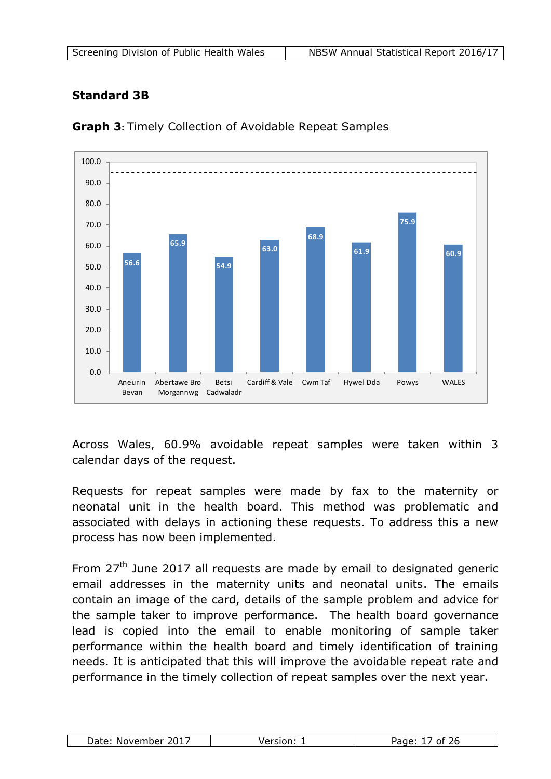| Screening Division of Public Health Wales | NBSW Annual Statistical Report 2016/17 |
|-------------------------------------------|----------------------------------------|
|-------------------------------------------|----------------------------------------|

## **Standard 3B**



**Graph 3:** Timely Collection of Avoidable Repeat Samples

Across Wales, 60.9% avoidable repeat samples were taken within 3 calendar days of the request.

Requests for repeat samples were made by fax to the maternity or neonatal unit in the health board. This method was problematic and associated with delays in actioning these requests. To address this a new process has now been implemented.

From 27<sup>th</sup> June 2017 all requests are made by email to designated generic email addresses in the maternity units and neonatal units. The emails contain an image of the card, details of the sample problem and advice for the sample taker to improve performance. The health board governance lead is copied into the email to enable monitoring of sample taker performance within the health board and timely identification of training needs. It is anticipated that this will improve the avoidable repeat rate and performance in the timely collection of repeat samples over the next year.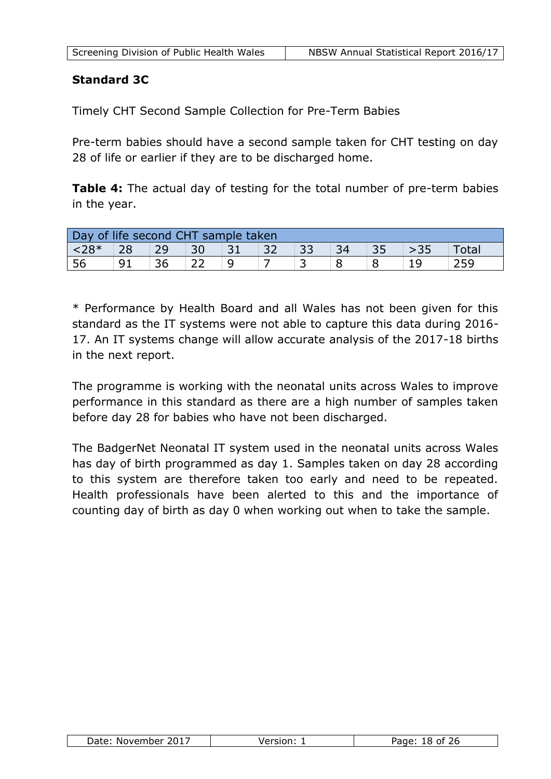## **Standard 3C**

Timely CHT Second Sample Collection for Pre-Term Babies

Pre-term babies should have a second sample taken for CHT testing on day 28 of life or earlier if they are to be discharged home.

**Table 4:** The actual day of testing for the total number of pre-term babies in the year.

| Day of life second CHT sample taken |    |    |    |    |  |  |              |
|-------------------------------------|----|----|----|----|--|--|--------------|
| $  28*$                             | 28 | 29 | 30 | 31 |  |  | <b>Total</b> |
| 56                                  |    | 36 |    |    |  |  |              |

\* Performance by Health Board and all Wales has not been given for this standard as the IT systems were not able to capture this data during 2016- 17. An IT systems change will allow accurate analysis of the 2017-18 births in the next report.

The programme is working with the neonatal units across Wales to improve performance in this standard as there are a high number of samples taken before day 28 for babies who have not been discharged.

The BadgerNet Neonatal IT system used in the neonatal units across Wales has day of birth programmed as day 1. Samples taken on day 28 according to this system are therefore taken too early and need to be repeated. Health professionals have been alerted to this and the importance of counting day of birth as day 0 when working out when to take the sample.

| 2017<br>Date<br>November |  | $- - - -$<br>ים נ<br>∠◡ |
|--------------------------|--|-------------------------|
|--------------------------|--|-------------------------|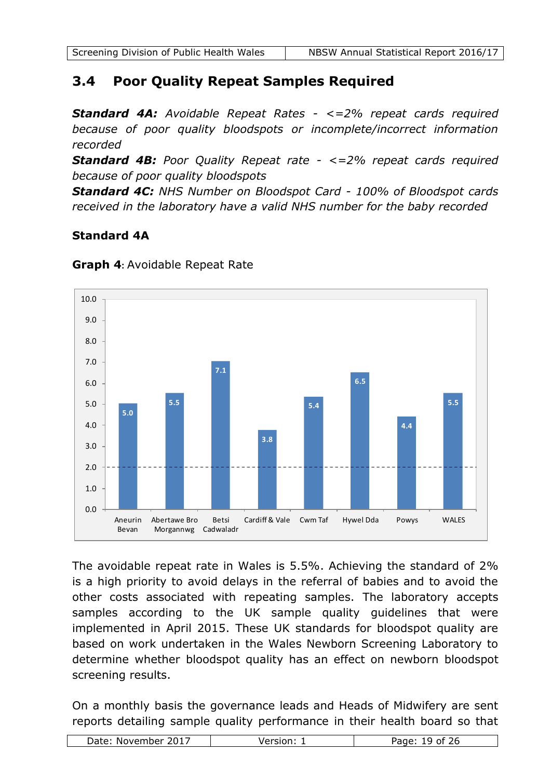## <span id="page-18-0"></span>**3.4 Poor Quality Repeat Samples Required**

*Standard 4A: Avoidable Repeat Rates - <=2% repeat cards required because of poor quality bloodspots or incomplete/incorrect information recorded*

*Standard 4B: Poor Quality Repeat rate - <=2% repeat cards required because of poor quality bloodspots*

*Standard 4C: NHS Number on Bloodspot Card - 100% of Bloodspot cards received in the laboratory have a valid NHS number for the baby recorded*

## **Standard 4A**



**Graph 4:** Avoidable Repeat Rate

The avoidable repeat rate in Wales is 5.5%. Achieving the standard of 2% is a high priority to avoid delays in the referral of babies and to avoid the other costs associated with repeating samples. The laboratory accepts samples according to the UK sample quality guidelines that were implemented in April 2015. These UK standards for bloodspot quality are based on work undertaken in the Wales Newborn Screening Laboratory to determine whether bloodspot quality has an effect on newborn bloodspot screening results.

On a monthly basis the governance leads and Heads of Midwifery are sent reports detailing sample quality performance in their health board so that

|  | 2017<br>Date:<br>November | ------- | $\sim$<br>. . |
|--|---------------------------|---------|---------------|
|--|---------------------------|---------|---------------|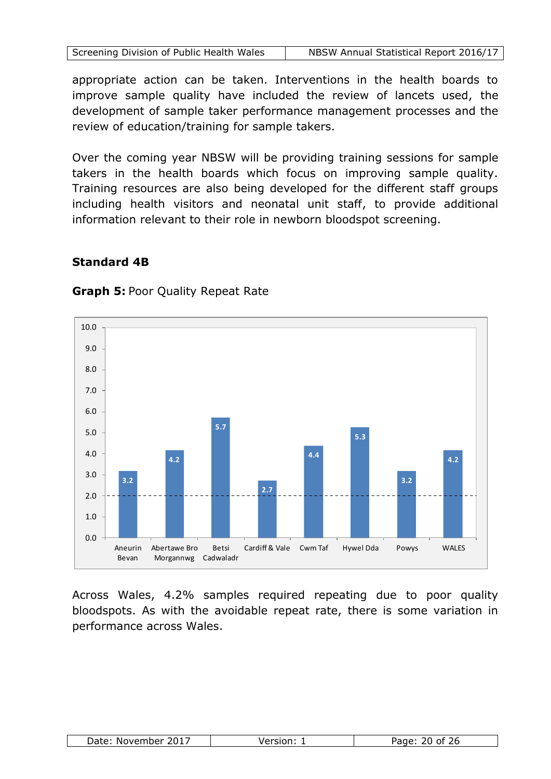appropriate action can be taken. Interventions in the health boards to improve sample quality have included the review of lancets used, the development of sample taker performance management processes and the review of education/training for sample takers.

Over the coming year NBSW will be providing training sessions for sample takers in the health boards which focus on improving sample quality. Training resources are also being developed for the different staff groups including health visitors and neonatal unit staff, to provide additional information relevant to their role in newborn bloodspot screening.

## **Standard 4B**



#### **Graph 5:** Poor Quality Repeat Rate

Across Wales, 4.2% samples required repeating due to poor quality bloodspots. As with the avoidable repeat rate, there is some variation in performance across Wales.

| 2017<br>Date:<br>November | $I$ $\alpha$ rcion $\cdot$ | .مصد¤<br>חנ<br>∽÷<br>-י<br>-<br>uuc |
|---------------------------|----------------------------|-------------------------------------|
|---------------------------|----------------------------|-------------------------------------|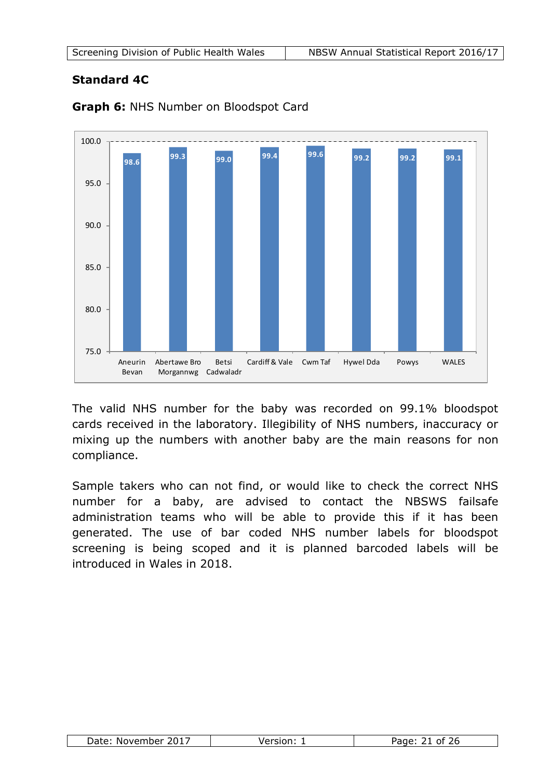## **Standard 4C**



**Graph 6:** NHS Number on Bloodspot Card

The valid NHS number for the baby was recorded on 99.1% bloodspot cards received in the laboratory. Illegibility of NHS numbers, inaccuracy or mixing up the numbers with another baby are the main reasons for non compliance.

Sample takers who can not find, or would like to check the correct NHS number for a baby, are advised to contact the NBSWS failsafe administration teams who will be able to provide this if it has been generated. The use of bar coded NHS number labels for bloodspot screening is being scoped and it is planned barcoded labels will be introduced in Wales in 2018.

| Date: November 2017 | Version: | 26<br>Page:<br>ot |
|---------------------|----------|-------------------|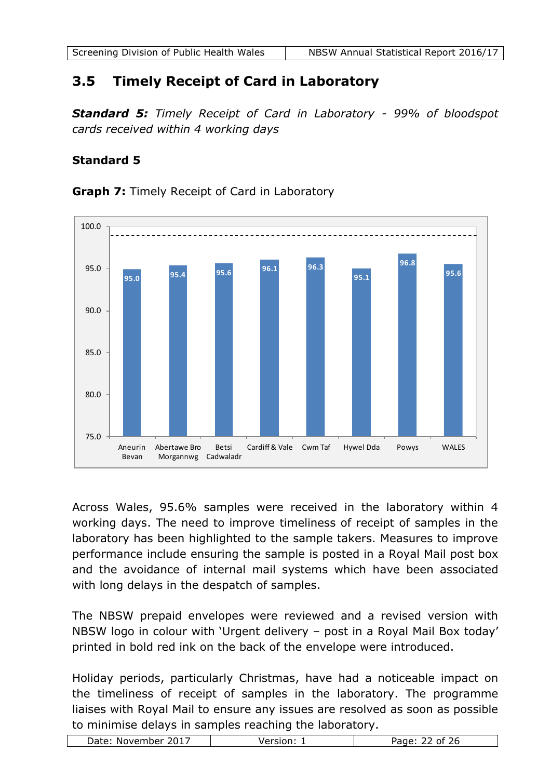## <span id="page-21-0"></span>**3.5 Timely Receipt of Card in Laboratory**

*Standard 5: Timely Receipt of Card in Laboratory - 99% of bloodspot cards received within 4 working days*

## **Standard 5**



**Graph 7:** Timely Receipt of Card in Laboratory

Across Wales, 95.6% samples were received in the laboratory within 4 working days. The need to improve timeliness of receipt of samples in the laboratory has been highlighted to the sample takers. Measures to improve performance include ensuring the sample is posted in a Royal Mail post box and the avoidance of internal mail systems which have been associated with long delays in the despatch of samples.

The NBSW prepaid envelopes were reviewed and a revised version with NBSW logo in colour with 'Urgent delivery – post in a Royal Mail Box today' printed in bold red ink on the back of the envelope were introduced.

Holiday periods, particularly Christmas, have had a noticeable impact on the timeliness of receipt of samples in the laboratory. The programme liaises with Royal Mail to ensure any issues are resolved as soon as possible

| 2017<br>Date:<br>November | - ג |
|---------------------------|-----|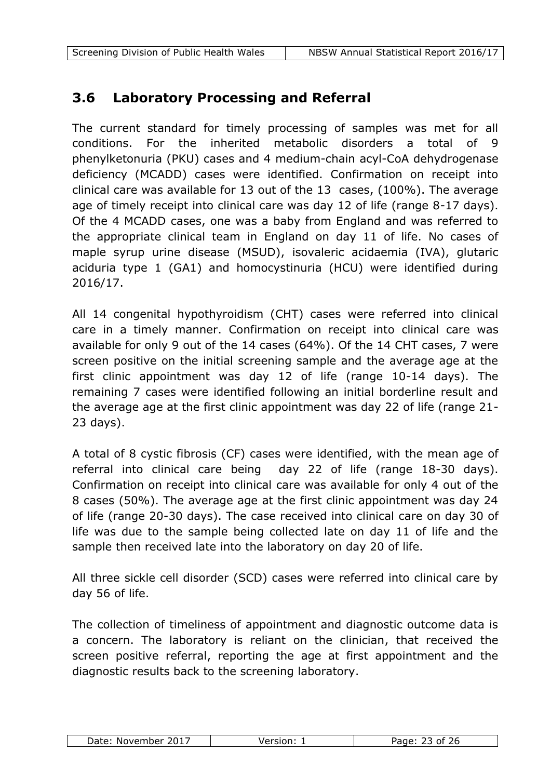## <span id="page-22-0"></span>**3.6 Laboratory Processing and Referral**

The current standard for timely processing of samples was met for all conditions. For the inherited metabolic disorders a total of 9 phenylketonuria (PKU) cases and 4 medium-chain acyl-CoA dehydrogenase deficiency (MCADD) cases were identified. Confirmation on receipt into clinical care was available for 13 out of the 13 cases, (100%). The average age of timely receipt into clinical care was day 12 of life (range 8-17 days). Of the 4 MCADD cases, one was a baby from England and was referred to the appropriate clinical team in England on day 11 of life. No cases of maple syrup urine disease (MSUD), isovaleric acidaemia (IVA), glutaric aciduria type 1 (GA1) and homocystinuria (HCU) were identified during 2016/17.

All 14 congenital hypothyroidism (CHT) cases were referred into clinical care in a timely manner. Confirmation on receipt into clinical care was available for only 9 out of the 14 cases (64%). Of the 14 CHT cases, 7 were screen positive on the initial screening sample and the average age at the first clinic appointment was day 12 of life (range 10-14 days). The remaining 7 cases were identified following an initial borderline result and the average age at the first clinic appointment was day 22 of life (range 21- 23 days).

A total of 8 cystic fibrosis (CF) cases were identified, with the mean age of referral into clinical care being day 22 of life (range 18-30 days). Confirmation on receipt into clinical care was available for only 4 out of the 8 cases (50%). The average age at the first clinic appointment was day 24 of life (range 20-30 days). The case received into clinical care on day 30 of life was due to the sample being collected late on day 11 of life and the sample then received late into the laboratory on day 20 of life.

All three sickle cell disorder (SCD) cases were referred into clinical care by day 56 of life.

The collection of timeliness of appointment and diagnostic outcome data is a concern. The laboratory is reliant on the clinician, that received the screen positive referral, reporting the age at first appointment and the diagnostic results back to the screening laboratory.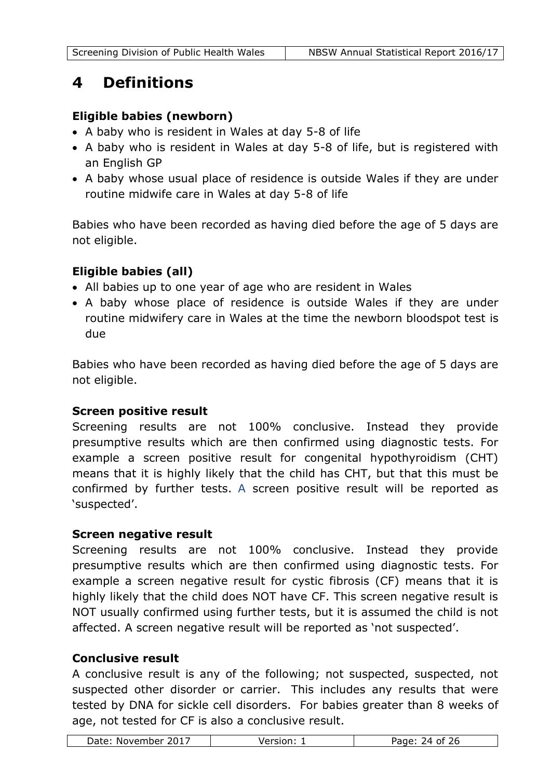## <span id="page-23-0"></span>**4 Definitions**

## **Eligible babies (newborn)**

- A baby who is resident in Wales at day 5-8 of life
- A baby who is resident in Wales at day 5-8 of life, but is registered with an English GP
- A baby whose usual place of residence is outside Wales if they are under routine midwife care in Wales at day 5-8 of life

Babies who have been recorded as having died before the age of 5 days are not eligible.

## **Eligible babies (all)**

- All babies up to one year of age who are resident in Wales
- A baby whose place of residence is outside Wales if they are under routine midwifery care in Wales at the time the newborn bloodspot test is due

Babies who have been recorded as having died before the age of 5 days are not eligible.

## **Screen positive result**

Screening results are not 100% conclusive. Instead they provide presumptive results which are then confirmed using diagnostic tests. For example a screen positive result for congenital hypothyroidism (CHT) means that it is highly likely that the child has CHT, but that this must be confirmed by further tests. A screen positive result will be reported as 'suspected'.

## **Screen negative result**

Screening results are not 100% conclusive. Instead they provide presumptive results which are then confirmed using diagnostic tests. For example a screen negative result for cystic fibrosis (CF) means that it is highly likely that the child does NOT have CF. This screen negative result is NOT usually confirmed using further tests, but it is assumed the child is not affected. A screen negative result will be reported as 'not suspected'.

#### **Conclusive result**

A conclusive result is any of the following; not suspected, suspected, not suspected other disorder or carrier. This includes any results that were tested by DNA for sickle cell disorders. For babies greater than 8 weeks of age, not tested for CF is also a conclusive result.

| 2017<br>⊃ate∙<br>November | .<br>$\sqrt{ }$<br>$\sim$<br>יי |
|---------------------------|---------------------------------|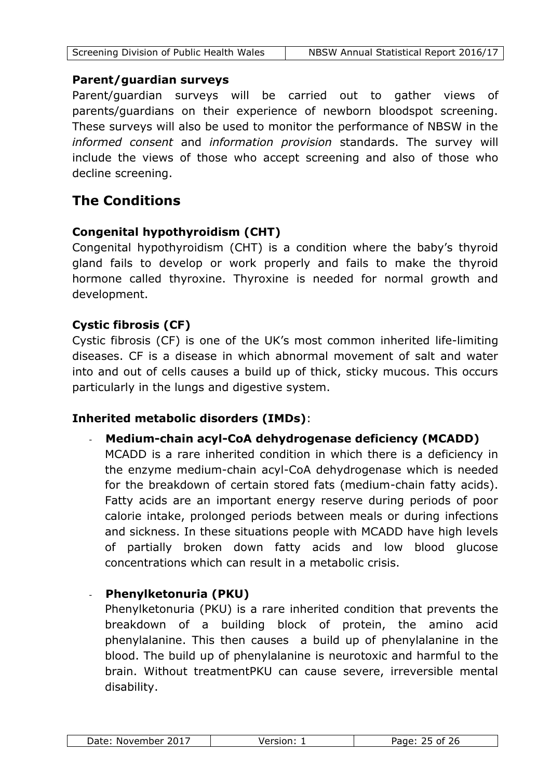#### **Parent/guardian surveys**

Parent/guardian surveys will be carried out to gather views of parents/guardians on their experience of newborn bloodspot screening. These surveys will also be used to monitor the performance of NBSW in the *informed consent* and *information provision* standards. The survey will include the views of those who accept screening and also of those who decline screening.

## **The Conditions**

## **Congenital hypothyroidism (CHT)**

Congenital hypothyroidism (CHT) is a condition where the baby's thyroid gland fails to develop or work properly and fails to make the thyroid hormone called thyroxine. Thyroxine is needed for normal growth and development.

## **Cystic fibrosis (CF)**

Cystic fibrosis (CF) is one of the UK's most common inherited life-limiting diseases. CF is a disease in which abnormal movement of salt and water into and out of cells causes a build up of thick, sticky mucous. This occurs particularly in the lungs and digestive system.

## **Inherited metabolic disorders (IMDs)**:

- **Medium-chain acyl-CoA dehydrogenase deficiency (MCADD)** MCADD is a rare inherited condition in which there is a deficiency in the enzyme medium-chain acyl-CoA dehydrogenase which is needed for the breakdown of certain stored fats (medium-chain fatty acids). Fatty acids are an important energy reserve during periods of poor calorie intake, prolonged periods between meals or during infections and sickness. In these situations people with MCADD have high levels of partially broken down fatty acids and low blood glucose concentrations which can result in a metabolic crisis.

## - **Phenylketonuria (PKU)**

Phenylketonuria (PKU) is a rare inherited condition that prevents the breakdown of a building block of protein, the amino acid phenylalanine. This then causes a build up of phenylalanine in the blood. The build up of phenylalanine is neurotoxic and harmful to the brain. Without treatmentPKU can cause severe, irreversible mental disability.

|  | 2017<br>Date:<br>November | . | . . |
|--|---------------------------|---|-----|
|--|---------------------------|---|-----|